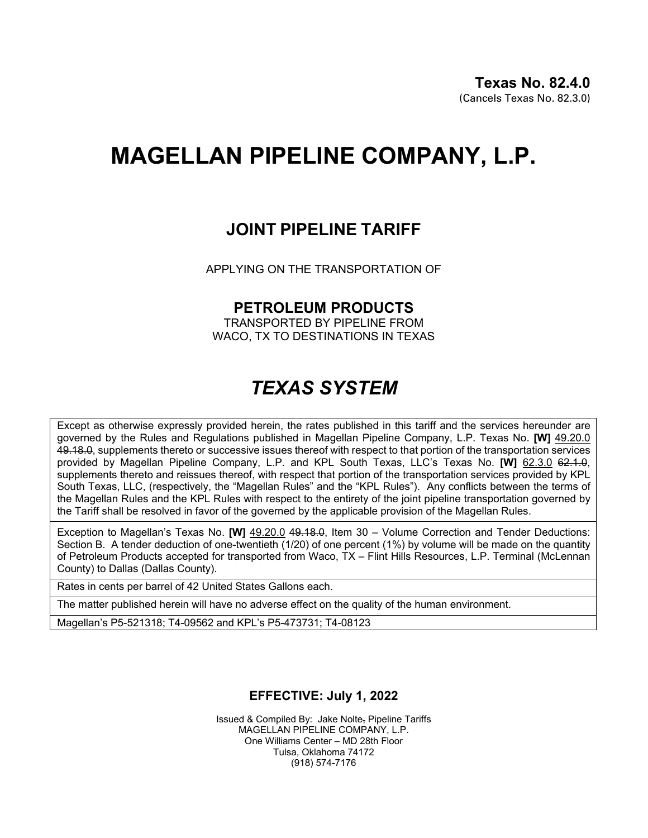# **MAGELLAN PIPELINE COMPANY, L.P.**

### **JOINT PIPELINE TARIFF**

APPLYING ON THE TRANSPORTATION OF

#### **PETROLEUM PRODUCTS**

TRANSPORTED BY PIPELINE FROM WACO, TX TO DESTINATIONS IN TEXAS

## *TEXAS SYSTEM*

Except as otherwise expressly provided herein, the rates published in this tariff and the services hereunder are governed by the Rules and Regulations published in Magellan Pipeline Company, L.P. Texas No. **[W]** 49.20.0 49.18.0, supplements thereto or successive issues thereof with respect to that portion of the transportation services provided by Magellan Pipeline Company, L.P. and KPL South Texas, LLC's Texas No. **[W]** 62.3.0 62.1.0, supplements thereto and reissues thereof, with respect that portion of the transportation services provided by KPL South Texas, LLC, (respectively, the "Magellan Rules" and the "KPL Rules"). Any conflicts between the terms of the Magellan Rules and the KPL Rules with respect to the entirety of the joint pipeline transportation governed by the Tariff shall be resolved in favor of the governed by the applicable provision of the Magellan Rules.

Exception to Magellan's Texas No. **[W]** 49.20.0 49.18.0, Item 30 – Volume Correction and Tender Deductions: Section B. A tender deduction of one-twentieth (1/20) of one percent (1%) by volume will be made on the quantity of Petroleum Products accepted for transported from Waco, TX – Flint Hills Resources, L.P. Terminal (McLennan County) to Dallas (Dallas County).

Rates in cents per barrel of 42 United States Gallons each.

The matter published herein will have no adverse effect on the quality of the human environment.

Magellan's P5-521318; T4-09562 and KPL's P5-473731; T4-08123

#### **EFFECTIVE: July 1, 2022**

Issued & Compiled By: Jake Nolte, Pipeline Tariffs MAGELLAN PIPELINE COMPANY, L.P. One Williams Center – MD 28th Floor Tulsa, Oklahoma 74172 (918) 574-7176